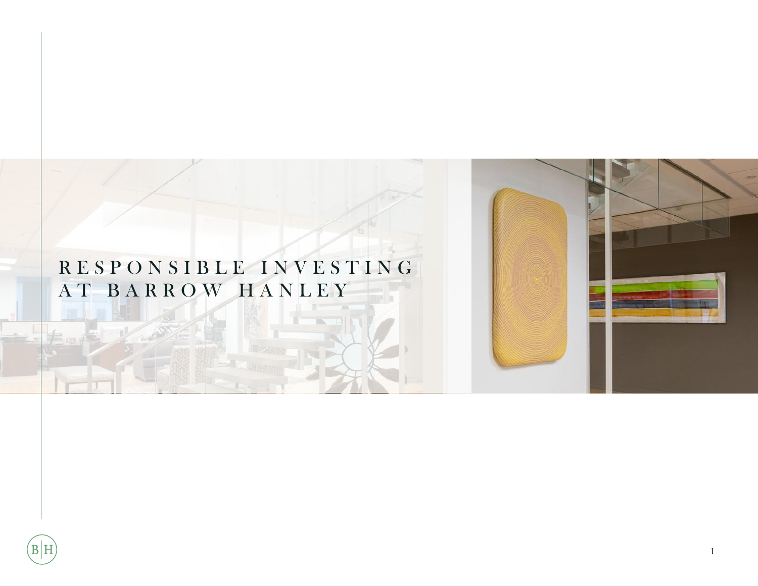# R E S P O N S I B L E I N V E S T I N G A T B A R R O W H A N L E Y



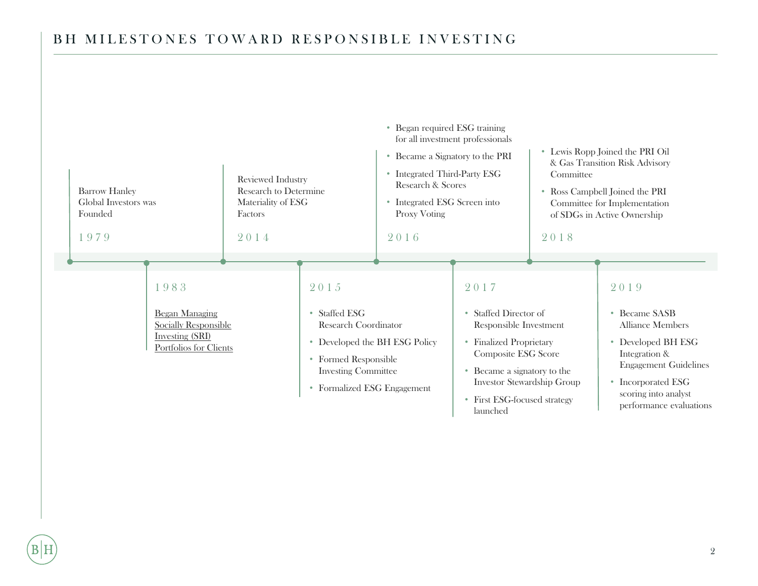## BH MILESTONES TOWARD RESPONSIBLE INVESTING

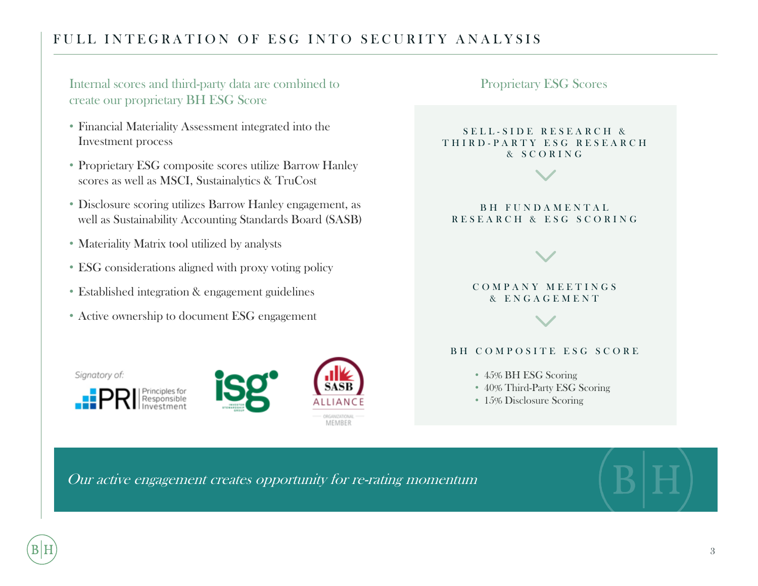## FULL INTEGRATION OF ESG INTO SECURITY ANALYSIS

Internal scores and third-party data are combined to create our proprietary BH ESG Score

- Financial Materiality Assessment integrated into the Investment process
- Proprietary ESG composite scores utilize Barrow Hanley scores as well as MSCI, Sustainalytics & TruCost
- Disclosure scoring utilizes Barrow Hanley engagement, as well as Sustainability Accounting Standards Board (SASB)
- Materiality Matrix tool utilized by analysts
- ESG considerations aligned with proxy voting policy
- Established integration & engagement guidelines
- Active ownership to document ESG engagement

Signatory of:







### Proprietary ESG Scores

#### SELL-SIDE RESEARCH & T H I R D - P A R T Y E S G R E S E A R C H & S C O R I N G

### B H F U N D A M E N T A L R E S E A R C H & E S G S C O R I N G

### C O M P A N Y M E E T I N G S & E N G A G E M E N T

### BH COMPOSITE ESG SCORE

- 45% BH ESG Scoring
- 40% Third-Party ESG Scoring
- 15% Disclosure Scoring

Our active engagement creates opportunity for re-rating momentum

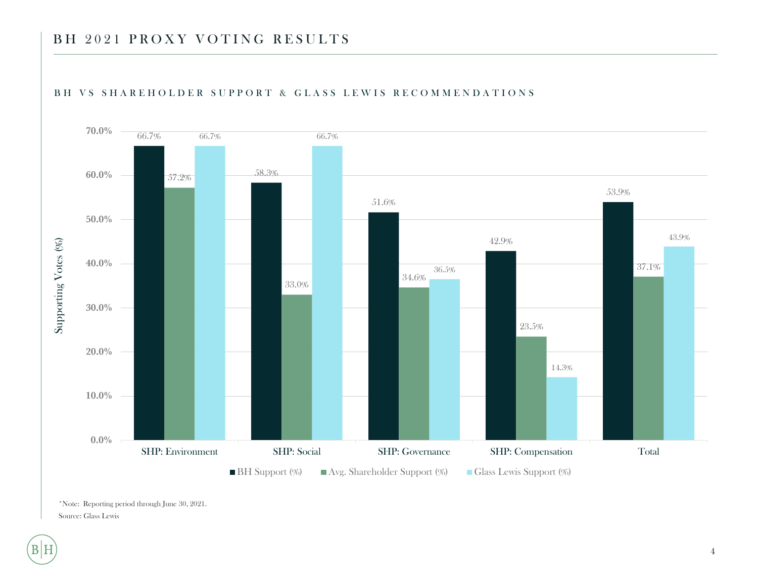## BH 2021 PROXY VOTING RESULTS



#### BH VS SHAREHOLDER SUPPORT & GLASS LEWIS RECOMMENDATIONS

\*Note: Reporting period through June 30, 2021. Source: Glass Lewis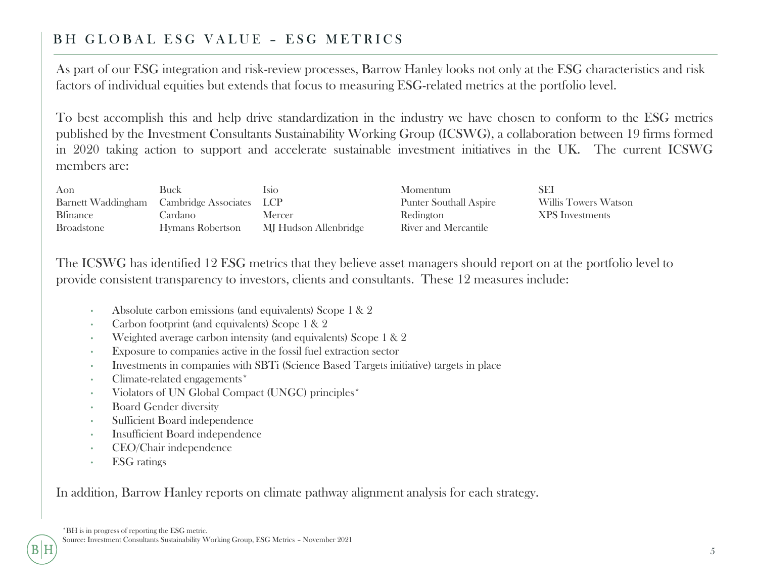## BH GLOBAL ESG VALUE - ESG METRICS

As part of our ESG integration and risk-review processes, Barrow Hanley looks not only at the ESG characteristics and risk factors of individual equities but extends that focus to measuring ESG-related metrics at the portfolio level.

To best accomplish this and help drive standardization in the industry we have chosen to conform to the ESG metrics published by the Investment Consultants Sustainability Working Group (ICSWG), a collaboration between 19 firms formed in 2020 taking action to support and accelerate sustainable investment initiatives in the UK. The current ICSWG members are:

| Aon               | Buck                                        | Isio.                 | <b>Momentum</b>               | SEI                    |
|-------------------|---------------------------------------------|-----------------------|-------------------------------|------------------------|
|                   | Barnett Waddingham Cambridge Associates LCP |                       | <b>Punter Southall Aspire</b> | Willis Towers Watson   |
| <b>B</b> finance  | Cardano-                                    | Mercer                | Redington                     | <b>XPS</b> Investments |
| <b>Broadstone</b> | Hymans Robertson                            | MJ Hudson Allenbridge | River and Mercantile          |                        |

The ICSWG has identified 12 ESG metrics that they believe asset managers should report on at the portfolio level to provide consistent transparency to investors, clients and consultants. These 12 measures include:

- Absolute carbon emissions (and equivalents) Scope 1 & 2
- Carbon footprint (and equivalents) Scope 1 & 2
- Weighted average carbon intensity (and equivalents) Scope 1 & 2
- Exposure to companies active in the fossil fuel extraction sector
- Investments in companies with SBTi (Science Based Targets initiative) targets in place
- Climate-related engagements\*
- Violators of UN Global Compact (UNGC) principles\*
- **Board Gender diversity**
- Sufficient Board independence
- Insufficient Board independence
- CEO/Chair independence
- ESG ratings

In addition, Barrow Hanley reports on climate pathway alignment analysis for each strategy.

IH

5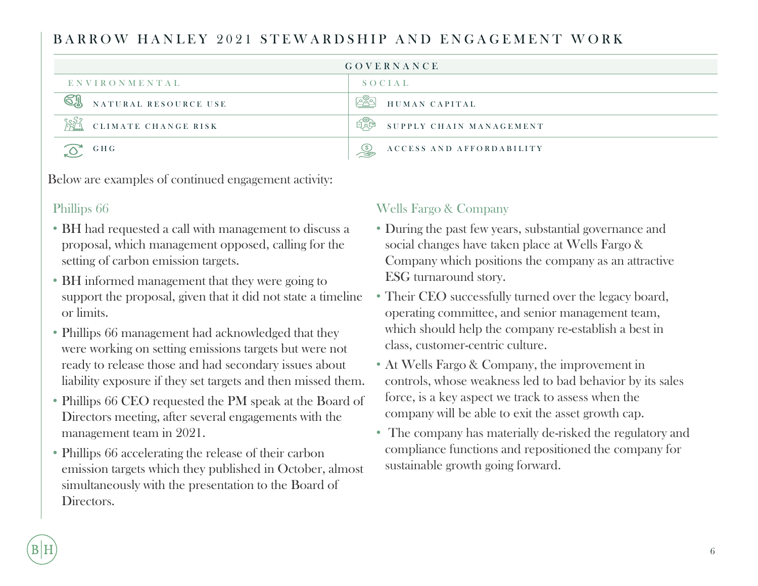## BARROW HANLEY 2021 STEWARDSHIP AND ENGAGEMENT WORK

| GOVERNANCE                   |                                          |  |
|------------------------------|------------------------------------------|--|
| ENVIRONMENTAL                | SOCIAL                                   |  |
| NATURAL RESOURCE USE         | ೭೬್ರ<br>HUMAN CAPITAL                    |  |
| နေနီန<br>CLIMATE CHANGE RISK | SUPPLY CHAIN MANAGEMENT<br>日页甲           |  |
| G H G                        | ACCESS AND AFFORDABILITY<br>$\mathbb{S}$ |  |

Below are examples of continued engagement activity:

### Phillips 66

- BH had requested a call with management to discuss a proposal, which management opposed, calling for the setting of carbon emission targets.
- BH informed management that they were going to support the proposal, given that it did not state a timeline or limits.
- Phillips 66 management had acknowledged that they were working on setting emissions targets but were not ready to release those and had secondary issues about liability exposure if they set targets and then missed them.
- Phillips 66 CEO requested the PM speak at the Board of Directors meeting, after several engagements with the management team in 2021.
- Phillips 66 accelerating the release of their carbon emission targets which they published in October, almost simultaneously with the presentation to the Board of Directors.

## Wells Fargo & Company

- During the past few years, substantial governance and social changes have taken place at Wells Fargo & Company which positions the company as an attractive ESG turnaround story.
- Their CEO successfully turned over the legacy board, operating committee, and senior management team, which should help the company re-establish a best in class, customer-centric culture.
- At Wells Fargo & Company, the improvement in controls, whose weakness led to bad behavior by its sales force, is a key aspect we track to assess when the company will be able to exit the asset growth cap.
- The company has materially de-risked the regulatory and compliance functions and repositioned the company for sustainable growth going forward.